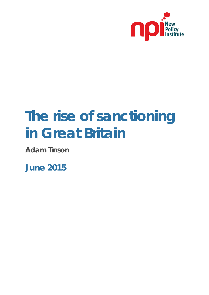

# **The rise of sanctioning in Great Britain**

**Adam Tinson**

**June 2015**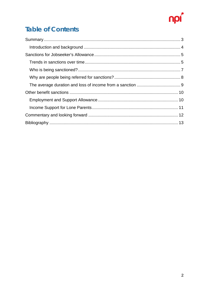

# **Table of Contents**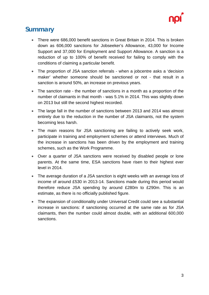

#### <span id="page-2-0"></span>**Summary**

- There were 686,000 benefit sanctions in Great Britain in 2014. This is broken down as 606,000 sanctions for Jobseeker's Allowance, 43,000 for Income Support and 37,000 for Employment and Support Allowance. A sanction is a reduction of up to 100% of benefit received for failing to comply with the conditions of claiming a particular benefit.
- The proportion of JSA sanction referrals when a jobcentre asks a 'decision maker' whether someone should be sanctioned or not - that result in a sanction is around 50%, an increase on previous years.
- The sanction rate the number of sanctions in a month as a proportion of the number of claimants in that month - was 5.1% in 2014. This was slightly down on 2013 but still the second highest recorded.
- The large fall in the number of sanctions between 2013 and 2014 was almost entirely due to the reduction in the number of JSA claimants, not the system becoming less harsh.
- The main reasons for JSA sanctioning are failing to actively seek work, participate in training and employment schemes or attend interviews. Much of the increase in sanctions has been driven by the employment and training schemes, such as the Work Programme.
- Over a quarter of JSA sanctions were received by disabled people or lone parents. At the same time, ESA sanctions have risen to their highest ever level in 2014.
- The average duration of a JSA sanction is eight weeks with an average loss of income of around £530 in 2013-14. Sanctions made during this period would therefore reduce JSA spending by around £280m to £290m. This is an estimate, as there is no officially published figure.
- The expansion of conditionality under Universal Credit could see a substantial increase in sanctions: if sanctioning occurred at the same rate as for JSA claimants, then the number could almost double, with an additional 600,000 sanctions.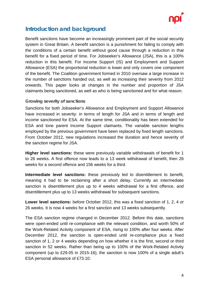

#### <span id="page-3-0"></span>**Introduction and background**

Benefit sanctions have become an increasingly prominent part of the social security system in Great Britain. A benefit sanction is a punishment for failing to comply with the conditions of a certain benefit without good cause through a reduction in that benefit for a fixed period of time. For Jobseeker's Allowance (JSA), this is a 100% reduction in this benefit. For Income Support (IS) and Employment and Support Allowance (ESA) the proportional reduction is lower and only covers one component of the benefit. The Coalition government formed in 2010 oversaw a large increase in the number of sanctions handed out, as well as increasing their severity from 2012 onwards. This paper looks at changes in the number and proportion of JSA claimants being sanctioned, as well as who is being sanctioned and for what reason.

#### **Growing severity of sanctions**

Sanctions for both Jobseeker's Allowance and Employment and Support Allowance have increased in severity: in terms of length for JSA and in terms of length and income sanctioned for ESA. At the same time, conditionality has been extended for ESA and lone parent Income Support claimants. The variable sanction lengths employed by the previous government have been replaced by fixed length sanctions. From October 2012, new regulations increased the duration and hence severity of the sanction regime for JSA.

**Higher level sanctions:** these were previously variable withdrawals of benefit for 1 to 26 weeks. A first offence now leads to a 13 week withdrawal of benefit, then 26 weeks for a second offence and 156 weeks for a third.

**Intermediate level sanctions:** these previously led to disentitlement to benefit. meaning it had to be reclaiming after a short delay. Currently an intermediate sanction is disentitlement plus up to 4 weeks withdrawal for a first offence, and disentitlement plus up to 13 weeks withdrawal for subsequent sanctions.

**Lower level sanctions:** before October 2012, this was a fixed sanction of 1, 2, 4 or 26 weeks. It is now 4 weeks for a first sanction and 13 weeks subsequently.

The ESA sanction regime changed in December 2012. Before this date, sanctions were open-ended until re-compliance with the relevant condition, and worth 50% of the Work-Related Activity component of ESA, rising to 100% after four weeks. After December 2012, the sanction is open-ended until re-compliance plus a fixed sanction of 1, 2 or 4 weeks depending on how whether it is the first, second or third sanction in 52 weeks. Rather than being up to 100% of the Work-Related Activity component (up to £29.05 in 2015-16), the sanction is now 100% of a single adult's ESA personal allowance of £73.10.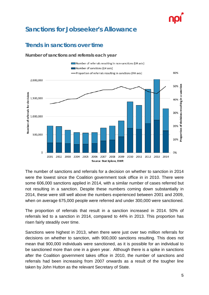## <span id="page-4-0"></span>**Sanctions for Jobseeker's Allowance**

#### <span id="page-4-1"></span>**Trends in sanctions over time**

**Number of sanctions and referrals each year**



The number of sanctions and referrals for a decision on whether to sanction in 2014 were the lowest since the Coalition government took office in in 2010. There were some 606,000 sanctions applied in 2014, with a similar number of cases referred but not resulting in a sanction. Despite these numbers coming down substantially in 2014, these were still well above the numbers experienced between 2001 and 2009, when on average 675,000 people were referred and under 300,000 were sanctioned.

The proportion of referrals that result in a sanction increased in 2014. 50% of referrals led to a sanction in 2014, compared to 44% in 2013. This proportion has risen fairly steadily over time.

Sanctions were highest in 2013, when there were just over two million referrals for decisions on whether to sanction, with 900,000 sanctions resulting. This does not mean that 900,000 individuals were sanctioned, as it is possible for an individual to be sanctioned more than one in a given year. Although there is a spike in sanctions after the Coalition government takes office in 2010, the number of sanctions and referrals had been increasing from 2007 onwards as a result of the tougher line taken by John Hutton as the relevant Secretary of State.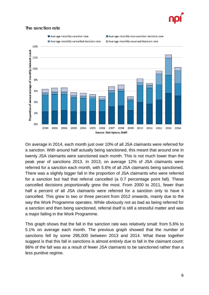

#### **The sanction rate**



On average in 2014, each month just over 10% of all JSA claimants were referred for a sanction. With around half actually being sanctioned, this meant that around one in twenty JSA claimants were sanctioned each month. This is not much lower than the peak year of sanctions 2013. In 2013, on average 12% of JSA claimants were referred for a sanction each month, with 5.6% of all JSA claimants being sanctioned. There was a slightly bigger fall in the proportion of JSA claimants who were referred for a sanction but had that referral cancelled (a 0.7 percentage point fall). These cancelled decisions proportionally grew the most. From 2000 to 2011, fewer than half a percent of all JSA claimants were referred for a sanction only to have it cancelled. This grew to two or three percent from 2012 onwards, mainly due to the way the Work Programme operates. While obviously not as bad as being referred for a sanction and then being sanctioned, referral itself is still a stressful matter and was a major failing in the Work Programme.

This graph shows that the fall in the sanction rate was relatively small: from 5.6% to 5.1% on average each month. The previous graph showed that the number of sanctions fell by some 295,000 between 2013 and 2014. What these together suggest is that this fall in sanctions is almost entirely due to fall in the claimant count: 86% of the fall was as a result of fewer JSA claimants to be sanctioned rather than a less punitive regime.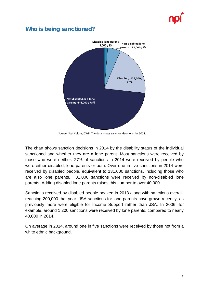#### <span id="page-6-0"></span>**Who is being sanctioned?**



Source: Stat Xplore, DWP. The data shows sanction decisions for 2014.

The chart shows sanction decisions in 2014 by the disability status of the individual sanctioned and whether they are a lone parent. Most sanctions were received by those who were neither. 27% of sanctions in 2014 were received by people who were either disabled, lone parents or both. Over one in five sanctions in 2014 were received by disabled people, equivalent to 131,000 sanctions, including those who are also lone parents. 31,000 sanctions were received by non-disabled lone parents. Adding disabled lone parents raises this number to over 40,000.

Sanctions received by disabled people peaked in 2013 along with sanctions overall, reaching 200,000 that year. JSA sanctions for lone parents have grown recently, as previously more were eligible for Income Support rather than JSA. In 2006, for example, around 1,200 sanctions were received by lone parents, compared to nearly 40,000 in 2014.

On average in 2014, around one in five sanctions were received by those not from a white ethnic background.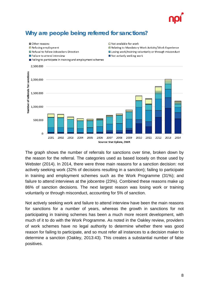

#### <span id="page-7-0"></span>**Why are people being referred for sanctions?**

Other reasons



 $\Box$  Not available for work

The graph shows the number of referrals for sanctions over time, broken down by the reason for the referral. The categories used as based loosely on those used by Webster (2014). In 2014, there were three main reasons for a sanction decision: not actively seeking work (32% of decisions resulting in a sanction); failing to participate in training and employment schemes such as the Work Programme (31%); and failure to attend interviews at the jobcentre (23%). Combined these reasons make up 86% of sanction decisions. The next largest reason was losing work or training voluntarily or through misconduct, accounting for 5% of sanction.

Not actively seeking work and failure to attend interview have been the main reasons for sanctions for a number of years, whereas the growth in sanctions for not participating in training schemes has been a much more recent development, with much of it to do with the Work Programme. As noted in the Oakley review, providers of work schemes have no legal authority to determine whether there was good reason for failing to participate, and so must refer all instances to a decision maker to determine a sanction (Oakley, 2013:43). This creates a substantial number of false positives.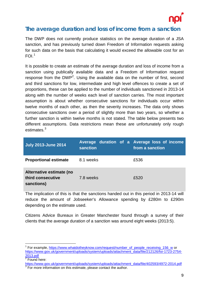

#### <span id="page-8-0"></span>**The average duration and loss of income from a sanction**

The DWP does not currently produce statistics on the average duration of a JSA sanction, and has previously turned down Freedom of Information requests asking for such data on the basis that calculating it would exceed the allowable cost for an  $FOL<sup>1</sup>$  $FOL<sup>1</sup>$  $FOL<sup>1</sup>$ 

It is possible to create an estimate of the average duration and loss of income from a sanction using publically available data and a Freedom of Information request response from the DWP<sup>[2](#page-8-2)</sup>. Using the available data on the number of first, second and third sanctions for low, intermediate and high level offences to create a set of proportions, these can be applied to the number of individuals sanctioned in 2013-14 along with the number of weeks each level of sanction carries. The most important assumption is about whether consecutive sanctions for individuals occur within twelve months of each other, as then the severity increases. The data only shows consecutive sanctions over a period of slightly more than two years, so whether a further sanction is within twelve months is not stated. The table below presents two different assumptions. Data restrictions mean these are unfortunately only rough estimates.<sup>[3](#page-8-3)</sup>

| <b>July 2013-June 2014</b>                                  | Average duration of a Average loss of income<br>sanction | from a sanction |
|-------------------------------------------------------------|----------------------------------------------------------|-----------------|
| <b>Proportional estimate</b>                                | 8.1 weeks                                                | £536            |
| Alternative estimate (no<br>third consecutive<br>sanctions) | 7.8 weeks                                                | £520            |

The implication of this is that the sanctions handed out in this period in 2013-14 will reduce the amount of Jobseeker's Allowance spending by £280m to £290m depending on the estimate used.

Citizens Advice Bureaux in Greater Manchester found through a survey of their clients that the average duration of a sanction was around eight weeks (2013:5).

<span id="page-8-1"></span><sup>&</sup>lt;sup>1</sup> For example, [https://www.whatdotheyknow.com/request/number\\_of\\_people\\_receiving\\_156\\_w](https://www.whatdotheyknow.com/request/number_of_people_receiving_156_w) or [https://www.gov.uk/government/uploads/system/uploads/attachment\\_data/file/212126/foi-1723-2754-](https://www.gov.uk/government/uploads/system/uploads/attachment_data/file/212126/foi-1723-2754-2013.pdf) [2013.pdf](https://www.gov.uk/government/uploads/system/uploads/attachment_data/file/212126/foi-1723-2754-2013.pdf)

<span id="page-8-2"></span>Found here:

<span id="page-8-3"></span>[https://www.gov.uk/government/uploads/system/uploads/attachment\\_data/file/402593/4972-2014.pdf](https://www.gov.uk/government/uploads/system/uploads/attachment_data/file/402593/4972-2014.pdf)<br><sup>3</sup> For more information on this estimate, please contact the author.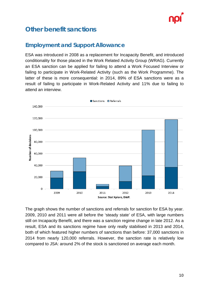

### <span id="page-9-0"></span>**Other benefit sanctions**

#### <span id="page-9-1"></span>**Employment and Support Allowance**

ESA was introduced in 2008 as a replacement for Incapacity Benefit, and introduced conditionality for those placed in the Work Related Activity Group (WRAG). Currently an ESA sanction can be applied for failing to attend a Work Focused Interview or failing to participate in Work-Related Activity (such as the Work Programme). The latter of these is more consequential: in 2014, 89% of ESA sanctions were as a result of failing to participate in Work-Related Activity and 11% due to failing to attend an interview.



The graph shows the number of sanctions and referrals for sanction for ESA by year. 2009, 2010 and 2011 were all before the 'steady state' of ESA, with large numbers still on Incapacity Benefit, and there was a sanction regime change in late 2012. As a result, ESA and its sanctions regime have only really stabilised in 2013 and 2014, both of which featured higher numbers of sanctions than before: 37,000 sanctions in 2014 from nearly 120,000 referrals. However, the sanction rate is relatively low compared to JSA: around 2% of the stock is sanctioned on average each month.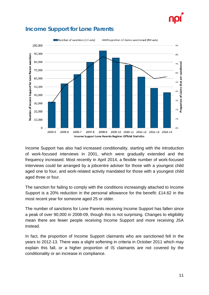



#### <span id="page-10-0"></span>**Income Support for Lone Parents**

Income Support has also had increased conditionality, starting with the introduction of work-focused interviews in 2001, which were gradually extended and the frequency increased. Most recently in April 2014, a flexible number of work-focused interviews could be arranged by a jobcentre adviser for those with a youngest child aged one to four, and work-related activity mandated for those with a youngest child aged three or four.

The sanction for failing to comply with the conditions increasingly attached to Income Support is a 20% reduction in the personal allowance for the benefit: £14.62 in the most recent year for someone aged 25 or older.

The number of sanctions for Lone Parents receiving Income Support has fallen since a peak of over 90,000 in 2008-09, though this is not surprising. Changes to eligibility mean there are fewer people receiving Income Support and more receiving JSA instead.

In fact, the proportion of Income Support claimants who are sanctioned fell in the years to 2012-13. There was a slight softening in criteria in October 2011 which may explain this fall, or a higher proportion of IS claimants are not covered by the conditionality or an increase in compliance.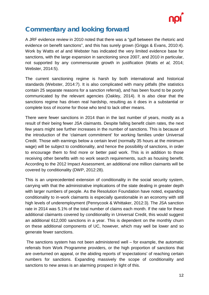

## <span id="page-11-0"></span>**Commentary and looking forward**

A JRF evidence review in 2010 noted that there was a "gulf between the rhetoric and evidence on benefit sanctions", and this has surely grown (Griggs & Evans, 2010:4). Work by Watts *et al* and Webster has indicated the very limited evidence base for sanctions, with the large expansion in sanctioning since 2007, and 2010 in particular, not supported by any commensurate growth in justification (Watts *et al,* 2014; Webster, 2014:5).

The current sanctioning regime is harsh by both international and historical standards (Webster, 2014:7). It is also complicated with many pitfalls (the statistics contain 25 separate reasons for a sanction referral), and has been found to be poorly communicated by the relevant agencies (Oakley, 2014). It is also clear that the sanctions regime has driven real hardship, resulting as it does in a substantial or complete loss of income for those who tend to lack other means.

There were fewer sanctions in 2014 than in the last number of years, mostly as a result of their being fewer JSA claimants. Despite falling benefit claim rates, the next few years might see further increases in the number of sanctions. This is because of the introduction of the 'claimant commitment' for working families under Universal Credit. Those with earnings below a certain level (normally 35 hours at the minimum wage) will be subject to conditionality, and hence the possibility of sanctions, in order to encourage them to find more or better paid work. This is in addition to those receiving other benefits with no work search requirements, such as housing benefit. According to the 2012 Impact Assessment, an additional one million claimants will be covered by conditionality (DWP, 2012:28).

This is an unprecedented extension of conditionality in the social security system, carrying with that the administrative implications of the state dealing in greater depth with larger numbers of people. As the Resolution Foundation have noted, expanding conditionality to in-work claimants is especially questionable in an economy with still high levels of underemployment (Pennycook & Whittaker, 2012:3). The JSA sanction rate in 2014 was 5.1% of the total number of claims each month. If the rate for these additional claimants covered by conditionality in Universal Credit, this would suggest an additional 612,000 sanctions in a year. This is dependent on the monthly churn on these additional components of UC, however, which may well be lower and so generate fewer sanctions.

The sanctions system has not been administered well – for example, the automatic referrals from Work Programme providers, or the high proportion of sanctions that are overturned on appeal, or the abiding reports of 'expectations' of reaching certain numbers for sanctions. Expanding massively the scope of conditionality and sanctions to new areas is an alarming prospect in light of this.